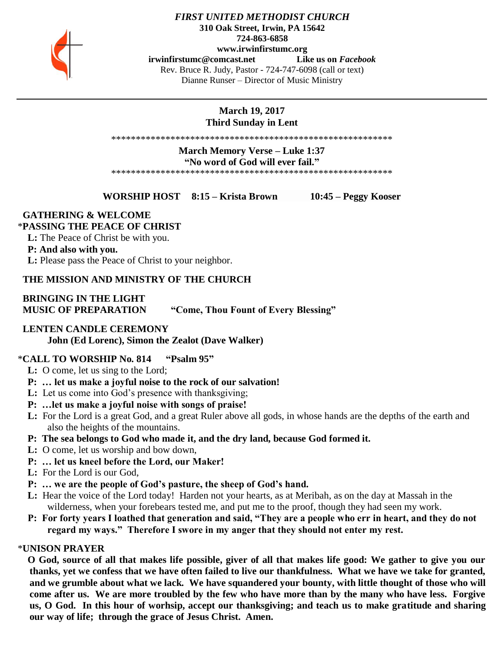

#### *FIRST UNITED METHODIST CHURCH* **310 Oak Street, Irwin, PA 15642 724-863-6858 www.irwinfirstumc.org [irwinfirstumc@comcast.net](mailto:irwinfirstumc@comcast.net) Like us on** *Facebook* Rev. Bruce R. Judy, Pastor - 724-747-6098 (call or text) Dianne Runser – Director of Music Ministry

## **March 19, 2017 Third Sunday in Lent**

\*\*\*\*\*\*\*\*\*\*\*\*\*\*\*\*\*\*\*\*\*\*\*\*\*\*\*\*\*\*\*\*\*\*\*\*\*\*\*\*\*\*\*\*\*\*\*\*\*\*\*\*\*\*\*\*\*

**March Memory Verse – Luke 1:37**

#### **"No word of God will ever fail."**

\*\*\*\*\*\*\*\*\*\*\*\*\*\*\*\*\*\*\*\*\*\*\*\*\*\*\*\*\*\*\*\*\*\*\*\*\*\*\*\*\*\*\*\*\*\*\*\*\*\*\*\*\*\*\*\*\*

**WORSHIP HOST 8:15 – Krista Brown 10:45 – Peggy Kooser**

## **GATHERING & WELCOME**

## \***PASSING THE PEACE OF CHRIST**

 **L:** The Peace of Christ be with you.

## **P: And also with you.**

 **L:** Please pass the Peace of Christ to your neighbor.

## **THE MISSION AND MINISTRY OF THE CHURCH**

## **BRINGING IN THE LIGHT MUSIC OF PREPARATION "Come, Thou Fount of Every Blessing"**

## **LENTEN CANDLE CEREMONY**

**John (Ed Lorenc), Simon the Zealot (Dave Walker)**

### \***CALL TO WORSHIP No. 814 "Psalm 95"**

- **L:** O come, let us sing to the Lord;
- **P: … let us make a joyful noise to the rock of our salvation!**
- **L:** Let us come into God's presence with thanksgiving;
- **P: …let us make a joyful noise with songs of praise!**
- **L:** For the Lord is a great God, and a great Ruler above all gods, in whose hands are the depths of the earth and also the heights of the mountains.
- **P: The sea belongs to God who made it, and the dry land, because God formed it.**
- **L:** O come, let us worship and bow down,
- **P: … let us kneel before the Lord, our Maker!**
- **L:** For the Lord is our God,
- **P: … we are the people of God's pasture, the sheep of God's hand.**
- **L:** Hear the voice of the Lord today! Harden not your hearts, as at Meribah, as on the day at Massah in the wilderness, when your forebears tested me, and put me to the proof, though they had seen my work.
- **P: For forty years I loathed that generation and said, "They are a people who err in heart, and they do not regard my ways." Therefore I swore in my anger that they should not enter my rest.**

## \***UNISON PRAYER**

 **O God, source of all that makes life possible, giver of all that makes life good: We gather to give you our thanks, yet we confess that we have often failed to live our thankfulness. What we have we take for granted, and we grumble about what we lack. We have squandered your bounty, with little thought of those who will come after us. We are more troubled by the few who have more than by the many who have less. Forgive us, O God. In this hour of worhsip, accept our thanksgiving; and teach us to make gratitude and sharing our way of life; through the grace of Jesus Christ. Amen.**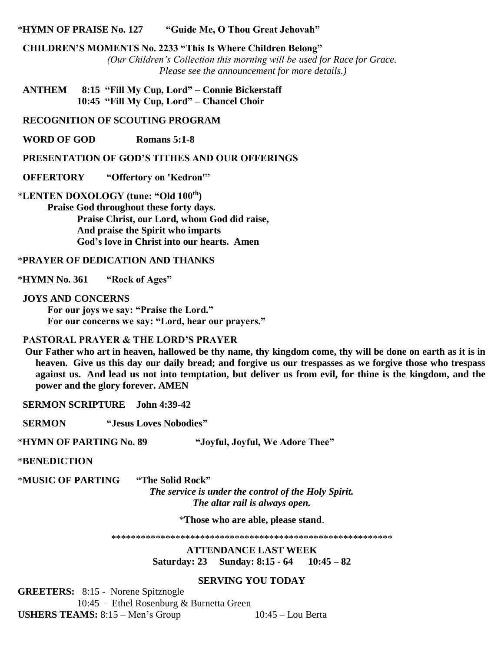#### \***HYMN OF PRAISE No. 127 "Guide Me, O Thou Great Jehovah"**

#### **CHILDREN'S MOMENTS No. 2233 "This Is Where Children Belong"**

*(Our Children's Collection this morning will be used for Race for Grace. Please see the announcement for more details.)*

 **ANTHEM 8:15 "Fill My Cup, Lord" – Connie Bickerstaff 10:45 "Fill My Cup, Lord" – Chancel Choir**

#### **RECOGNITION OF SCOUTING PROGRAM**

 **WORD OF GOD Romans 5:1-8**

#### **PRESENTATION OF GOD'S TITHES AND OUR OFFERINGS**

#### **OFFERTORY "Offertory on 'Kedron'"**

\***LENTEN DOXOLOGY (tune: "Old 100th)**

**Praise God throughout these forty days. Praise Christ, our Lord, whom God did raise, And praise the Spirit who imparts God's love in Christ into our hearts. Amen**

#### \***PRAYER OF DEDICATION AND THANKS**

\***HYMN No. 361 "Rock of Ages"**

 **JOYS AND CONCERNS For our joys we say: "Praise the Lord."**

**For our concerns we say: "Lord, hear our prayers."**

## **PASTORAL PRAYER & THE LORD'S PRAYER**

 **Our Father who art in heaven, hallowed be thy name, thy kingdom come, thy will be done on earth as it is in heaven. Give us this day our daily bread; and forgive us our trespasses as we forgive those who trespass against us. And lead us not into temptation, but deliver us from evil, for thine is the kingdom, and the power and the glory forever. AMEN**

 **SERMON SCRIPTURE John 4:39-42**

 **SERMON "Jesus Loves Nobodies"**

\***HYMN OF PARTING No. 89 "Joyful, Joyful, We Adore Thee"**

\***BENEDICTION** 

\***MUSIC OF PARTING "The Solid Rock"**

*The service is under the control of the Holy Spirit. The altar rail is always open.*

\***Those who are able, please stand**.

\*\*\*\*\*\*\*\*\*\*\*\*\*\*\*\*\*\*\*\*\*\*\*\*\*\*\*\*\*\*\*\*\*\*\*\*\*\*\*\*\*\*\*\*\*\*\*\*\*\*\*\*\*\*\*\*\*

**ATTENDANCE LAST WEEK Saturday: 23 Sunday: 8:15 - 64 10:45 – 82**

#### **SERVING YOU TODAY**

**GREETERS:** 8:15 - Norene Spitznogle 10:45 – Ethel Rosenburg & Burnetta Green **USHERS TEAMS:** 8:15 – Men's Group 10:45 – Lou Berta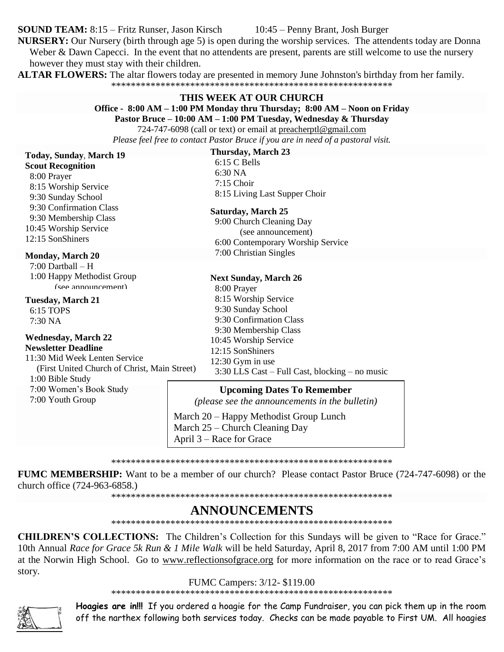**SOUND TEAM:** 8:15 – Fritz Runser, Jason Kirsch

10:45 – Penny Brant, Josh Burger

NURSERY: Our Nursery (birth through age 5) is open during the worship services. The attendents today are Donna Weber  $\&$  Dawn Capecci. In the event that no attendents are present, parents are still welcome to use the nursery

however they must stay with their children.

**ALTAR FLOWERS:** The altar flowers today are presented in memory June Johnston's birthday from her family.

### THIS WEEK AT OUR CHURCH

Office - 8:00 AM - 1:00 PM Monday thru Thursday; 8:00 AM - Noon on Friday

Pastor Bruce - 10:00 AM - 1:00 PM Tuesday, Wednesday & Thursday

724-747-6098 (call or text) or email at preacherptl@gmail.com Please feel free to contact Pastor Bruce if you are in need of a pastoral visit.

## Today, Sunday, March 19

**Scout Recognition** 8:00 Prayer 8:15 Worship Service 9:30 Sunday School 9:30 Confirmation Class

9:30 Membership Class 10:45 Worship Service 12:15 SonShiners

## **Monday, March 20**

 $7:00$  Dartball  $-$  H 1:00 Happy Methodist Group (see announcement)

**Tuesday, March 21** 

6:15 TOPS 7:30 NA

#### **Wednesday, March 22 Newsletter Deadline**

11:30 Mid Week Lenten Service (First United Church of Christ, Main Street)

1:00 Bible Study

7:00 Women's Book Study 7:00 Youth Group

## **Thursday, March 23**

6:15 C Bells 6:30 NA  $7:15$  Choir 8:15 Living Last Supper Choir

### **Saturday, March 25**

9:00 Church Cleaning Day (see announcement) 6:00 Contemporary Worship Service 7:00 Christian Singles

#### **Next Sunday, March 26**

8:00 Prayer 8:15 Worship Service 9:30 Sunday School 9:30 Confirmation Class 9:30 Membership Class 10:45 Worship Service  $12:15$  SonShiners  $12:30$  Gym in use 3:30 LLS Cast – Full Cast, blocking – no music

### **Upcoming Dates To Remember**

(please see the announcements in the bulletin)

March 20 – Happy Methodist Group Lunch March 25 – Church Cleaning Day April 3 – Race for Grace

**FUMC MEMBERSHIP:** Want to be a member of our church? Please contact Pastor Bruce (724-747-6098) or the church office (724-963-6858.)

## **ANNOUNCEMENTS**

CHILDREN'S COLLECTIONS: The Children's Collection for this Sundays will be given to "Race for Grace." 10th Annual Race for Grace 5k Run & 1 Mile Walk will be held Saturday, April 8, 2017 from 7:00 AM until 1:00 PM at the Norwin High School. Go to www.reflectionsofgrace.org for more information on the race or to read Grace's story.

### FUMC Campers: 3/12- \$119.00



Hoagies are in!!! If you ordered a hoagie for the Camp Fundraiser, you can pick them up in the room off the narthex following both services today. Checks can be made payable to First UM. All hoagies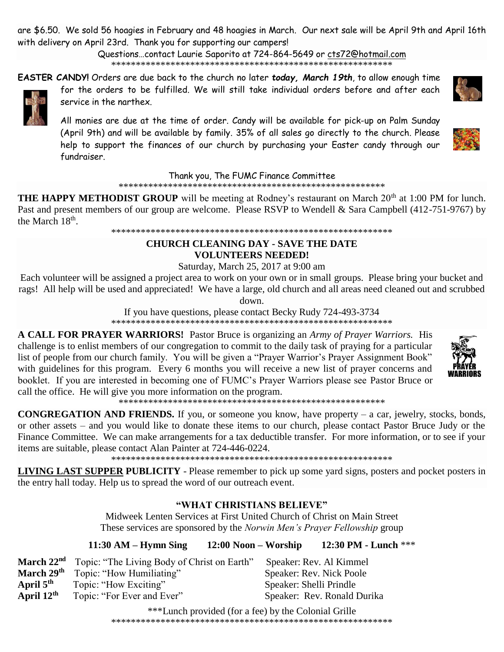are \$6.50. We sold 56 hoagies in February and 48 hoagies in March. Our next sale will be April 9th and April 16th with delivery on April 23rd. Thank you for supporting our campers!

> Questions…contact Laurie Saporito at 724-864-5649 or [cts72@hotmail.com](javascript:window.top.ZmObjectManager.__doClickObject(document.getElementById(%22OBJ_PREFIX_DWT5104_com_zimbra_email%22));) \*\*\*\*\*\*\*\*\*\*\*\*\*\*\*\*\*\*\*\*\*\*\*\*\*\*\*\*\*\*\*\*\*\*\*\*\*\*\*\*\*\*\*\*\*\*\*\*\*\*\*\*\*\*\*\*\*

**EASTER CANDY!** Orders are due back to the church no later *today, March 19th*, to allow enough time for the orders to be fulfilled. We will still take individual orders before and after each service in the narthex.

All monies are due at the time of order. Candy will be available for pick-up on Palm Sunday (April 9th) and will be available by family. 35% of all sales go directly to the church. Please help to support the finances of our church by purchasing your Easter candy through our fundraiser.

### Thank you, The FUMC Finance Committee

\*\*\*\*\*\*\*\*\*\*\*\*\*\*\*\*\*\*\*\*\*\*\*\*\*\*\*\*\*\*\*\*\*\*\*\*\*\*\*\*\*\*\*\*\*\*\*\*\*\*\*\*\*\*

**THE HAPPY METHODIST GROUP** will be meeting at Rodney's restaurant on March 20<sup>th</sup> at 1:00 PM for lunch. Past and present members of our group are welcome. Please RSVP to Wendell & Sara Campbell (412-751-9767) by the March  $18<sup>th</sup>$ .

\*\*\*\*\*\*\*\*\*\*\*\*\*\*\*\*\*\*\*\*\*\*\*\*\*\*\*\*\*\*\*\*\*\*\*\*\*\*\*\*\*\*\*\*\*\*\*\*\*\*\*\*\*\*\*\*\*

## **CHURCH CLEANING DAY - SAVE THE DATE**

## **VOLUNTEERS NEEDED!**

Saturday, March 25, 2017 at 9:00 am

Each volunteer will be assigned a project area to work on your own or in small groups. Please bring your bucket and rags! All help will be used and appreciated! We have a large, old church and all areas need cleaned out and scrubbed

down.

If you have questions, please contact Becky Rudy 724-493-3734 \*\*\*\*\*\*\*\*\*\*\*\*\*\*\*\*\*\*\*\*\*\*\*\*\*\*\*\*\*\*\*\*\*\*\*\*\*\*\*\*\*\*\*\*\*\*\*\*\*\*\*\*\*\*\*\*\*

**A CALL FOR PRAYER WARRIORS!** Pastor Bruce is organizing an *Army of Prayer Warriors.* His challenge is to enlist members of our congregation to commit to the daily task of praying for a particular list of people from our church family. You will be given a "Prayer Warrior's Prayer Assignment Book" with guidelines for this program. Every 6 months you will receive a new list of prayer concerns and booklet. If you are interested in becoming one of FUMC's Prayer Warriors please see Pastor Bruce or call the office. He will give you more information on the program.

\*\*\*\*\*\*\*\*\*\*\*\*\*\*\*\*\*\*\*\*\*\*\*\*\*\*\*\*\*\*\*\*\*\*\*\*\*\*\*\*\*\*\*\*\*\*\*\*\*\*\*\*\*\*

**CONGREGATION AND FRIENDS.** If you, or someone you know, have property – a car, jewelry, stocks, bonds, or other assets – and you would like to donate these items to our church, please contact Pastor Bruce Judy or the Finance Committee. We can make arrangements for a tax deductible transfer. For more information, or to see if your items are suitable, please contact Alan Painter at 724-446-0224.

\*\*\*\*\*\*\*\*\*\*\*\*\*\*\*\*\*\*\*\*\*\*\*\*\*\*\*\*\*\*\*\*\*\*\*\*\*\*\*\*\*\*\*\*\*\*\*\*\*\*\*\*\*\*\*\*\*

**LIVING LAST SUPPER PUBLICITY** - Please remember to pick up some yard signs, posters and pocket posters in the entry hall today. Help us to spread the word of our outreach event.

## **"WHAT CHRISTIANS BELIEVE"**

Midweek Lenten Services at First United Church of Christ on Main Street These services are sponsored by the *Norwin Men's Prayer Fellowship* group

**11:30 AM – Hymn Sing 12:00 Noon – Worship 12:30 PM - Lunch** \*\*\*

|                        | March 22 <sup>nd</sup> Topic: "The Living Body of Christ on Earth" | Speaker: Rev. Al Kimmel     |
|------------------------|--------------------------------------------------------------------|-----------------------------|
| March 29 <sup>th</sup> | Topic: "How Humiliating"                                           | Speaker: Rev. Nick Poole    |
| April $5th$            | Topic: "How Exciting"                                              | Speaker: Shelli Prindle     |
| April $12^{\text{th}}$ | Topic: "For Ever and Ever"                                         | Speaker: Rev. Ronald Durika |

\*\*\*Lunch provided (for a fee) by the Colonial Grille \*\*\*\*\*\*\*\*\*\*\*\*\*\*\*\*\*\*\*\*\*\*\*\*\*\*\*\*\*\*\*\*\*\*\*\*\*\*\*\*\*\*\*\*\*\*\*\*\*\*\*\*\*\*\*\*\*





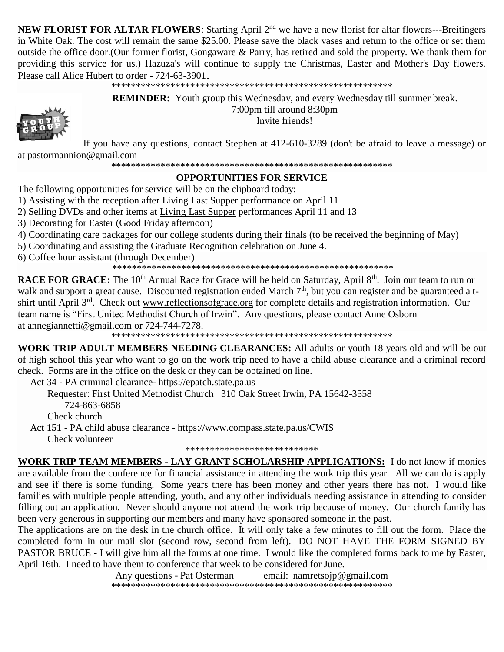**NEW FLORIST FOR ALTAR FLOWERS:** Starting April 2<sup>nd</sup> we have a new florist for altar flowers---Breitingers in White Oak. The cost will remain the same \$25.00. Please save the black vases and return to the office or set them outside the office door. (Our former florist, Gongaware & Parry, has retired and sold the property. We thank them for providing this service for us.) Hazuza's will continue to supply the Christmas, Easter and Mother's Day flowers. Please call Alice Hubert to order - 724-63-3901.

**REMINDER:** Youth group this Wednesday, and every Wednesday till summer break. 7:00pm till around 8:30pm



Invite friends!

If you have any questions, contact Stephen at 412-610-3289 (don't be afraid to leave a message) or at pastormannion@gmail.com

## **OPPORTUNITIES FOR SERVICE**

The following opportunities for service will be on the clipboard today:

1) Assisting with the reception after Living Last Supper performance on April 11

2) Selling DVDs and other items at Living Last Supper performances April 11 and 13

3) Decorating for Easter (Good Friday afternoon)

4) Coordinating care packages for our college students during their finals (to be received the beginning of May)

5) Coordinating and assisting the Graduate Recognition celebration on June 4.

6) Coffee hour assistant (through December)

**RACE FOR GRACE:** The 10<sup>th</sup> Annual Race for Grace will be held on Saturday, April  $8^{th}$ . Join our team to run or walk and support a great cause. Discounted registration ended March 7<sup>th</sup>, but you can register and be guaranteed a tshirt until April 3<sup>rd</sup>. Check out www.reflectionsofgrace.org for complete details and registration information. Our team name is "First United Methodist Church of Irwin". Any questions, please contact Anne Osborn at annegian netti@gmail.com or 724-744-7278.

WORK TRIP ADULT MEMBERS NEEDING CLEARANCES: All adults or youth 18 years old and will be out of high school this year who want to go on the work trip need to have a child abuse clearance and a criminal record check. Forms are in the office on the desk or they can be obtained on line.

Act 34 - PA criminal clearance- https://epatch.state.pa.us

Requester: First United Methodist Church 310 Oak Street Irwin, PA 15642-3558 724-863-6858 Check church

Act 151 - PA child abuse clearance - https://www.compass.state.pa.us/CWIS Check volunteer

\*\*\*\*\*\*\*\*\*\*\*\*\*\*\*\*\*\*\*\*\*\*\*\*\*\*\*

WORK TRIP TEAM MEMBERS - LAY GRANT SCHOLARSHIP APPLICATIONS: I do not know if monies are available from the conference for financial assistance in attending the work trip this year. All we can do is apply and see if there is some funding. Some years there has been money and other years there has not. I would like families with multiple people attending, youth, and any other individuals needing assistance in attending to consider filling out an application. Never should anyone not attend the work trip because of money. Our church family has been very generous in supporting our members and many have sponsored someone in the past.

The applications are on the desk in the church office. It will only take a few minutes to fill out the form. Place the completed form in our mail slot (second row, second from left). DO NOT HAVE THE FORM SIGNED BY PASTOR BRUCE - I will give him all the forms at one time. I would like the completed forms back to me by Easter, April 16th. I need to have them to conference that week to be considered for June.

> Any questions - Pat Osterman email: namretsoip@gmail.com